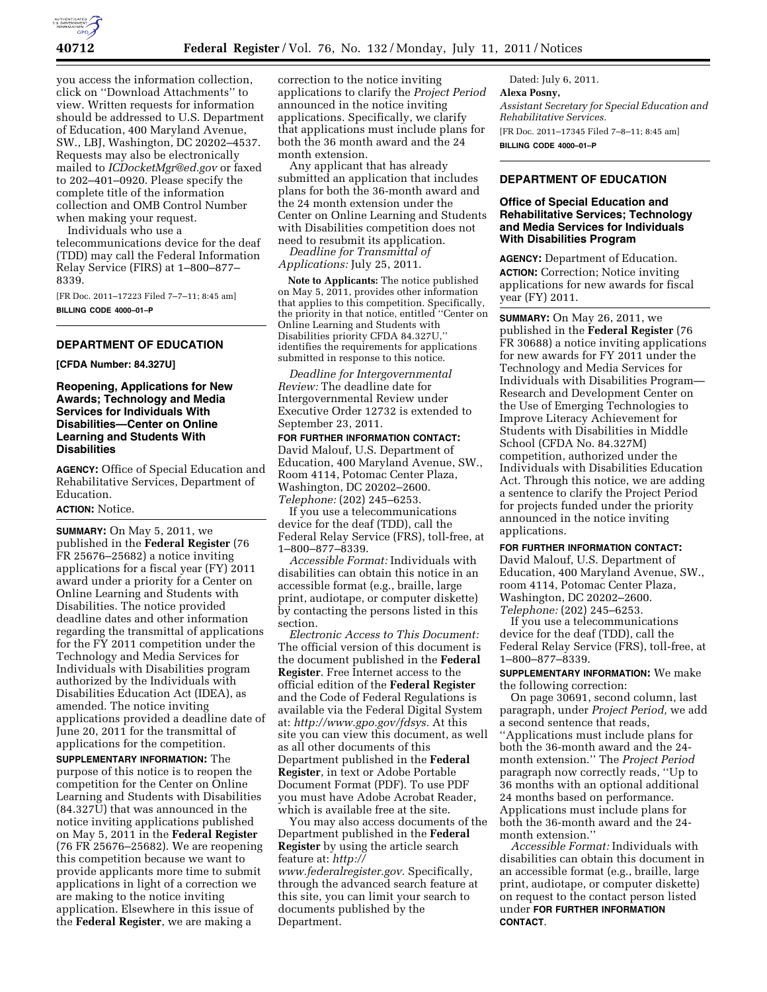

you access the information collection, click on ''Download Attachments'' to view. Written requests for information should be addressed to U.S. Department of Education, 400 Maryland Avenue, SW., LBJ, Washington, DC 20202–4537. Requests may also be electronically mailed to *[ICDocketMgr@ed.gov](mailto:ICDocketMgr@ed.gov)* or faxed to 202–401–0920. Please specify the complete title of the information collection and OMB Control Number when making your request.

Individuals who use a

telecommunications device for the deaf (TDD) may call the Federal Information Relay Service (FIRS) at 1–800–877– 8339.

[FR Doc. 2011–17223 Filed 7–7–11; 8:45 am] **BILLING CODE 4000–01–P** 

# **DEPARTMENT OF EDUCATION**

**[CFDA Number: 84.327U]** 

**Reopening, Applications for New Awards; Technology and Media Services for Individuals With Disabilities—Center on Online Learning and Students With Disabilities** 

**AGENCY:** Office of Special Education and Rehabilitative Services, Department of Education.

# **ACTION:** Notice.

**SUMMARY:** On May 5, 2011, we published in the **Federal Register** (76 FR 25676–25682) a notice inviting applications for a fiscal year (FY) 2011 award under a priority for a Center on Online Learning and Students with Disabilities. The notice provided deadline dates and other information regarding the transmittal of applications for the FY 2011 competition under the Technology and Media Services for Individuals with Disabilities program authorized by the Individuals with Disabilities Education Act (IDEA), as amended. The notice inviting applications provided a deadline date of June 20, 2011 for the transmittal of applications for the competition.

**SUPPLEMENTARY INFORMATION:** The purpose of this notice is to reopen the competition for the Center on Online Learning and Students with Disabilities (84.327U) that was announced in the notice inviting applications published on May 5, 2011 in the **Federal Register**  (76 FR 25676–25682). We are reopening this competition because we want to provide applicants more time to submit applications in light of a correction we are making to the notice inviting application. Elsewhere in this issue of the **Federal Register**, we are making a

correction to the notice inviting applications to clarify the *Project Period*  announced in the notice inviting applications. Specifically, we clarify that applications must include plans for both the 36 month award and the 24 month extension.

Any applicant that has already submitted an application that includes plans for both the 36-month award and the 24 month extension under the Center on Online Learning and Students with Disabilities competition does not need to resubmit its application.

*Deadline for Transmittal of Applications:* July 25, 2011.

**Note to Applicants:** The notice published on May 5, 2011, provides other information that applies to this competition. Specifically, the priority in that notice, entitled ''Center on Online Learning and Students with Disabilities priority CFDA 84.327U,'' identifies the requirements for applications submitted in response to this notice.

*Deadline for Intergovernmental Review:* The deadline date for Intergovernmental Review under Executive Order 12732 is extended to September 23, 2011.

**FOR FURTHER INFORMATION CONTACT:**  David Malouf, U.S. Department of Education, 400 Maryland Avenue, SW., Room 4114, Potomac Center Plaza, Washington, DC 20202–2600. *Telephone:* (202) 245–6253.

If you use a telecommunications device for the deaf (TDD), call the Federal Relay Service (FRS), toll-free, at 1–800–877–8339.

*Accessible Format:* Individuals with disabilities can obtain this notice in an accessible format (e.g., braille, large print, audiotape, or computer diskette) by contacting the persons listed in this section.

*Electronic Access to This Document:*  The official version of this document is the document published in the **Federal Register**. Free Internet access to the official edition of the **Federal Register**  and the Code of Federal Regulations is available via the Federal Digital System at: *[http://www.gpo.gov/fdsys.](http://www.gpo.gov/fdsys)* At this site you can view this document, as well as all other documents of this Department published in the **Federal Register**, in text or Adobe Portable Document Format (PDF). To use PDF you must have Adobe Acrobat Reader, which is available free at the site.

You may also access documents of the Department published in the **Federal Register** by using the article search feature at: *[http://](http://www.federalregister.gov)  [www.federalregister.gov.](http://www.federalregister.gov)* Specifically, through the advanced search feature at this site, you can limit your search to documents published by the Department.

Dated: July 6, 2011. **Alexa Posny,**  *Assistant Secretary for Special Education and Rehabilitative Services.*  [FR Doc. 2011–17345 Filed 7–8–11; 8:45 am] **BILLING CODE 4000–01–P** 

# **DEPARTMENT OF EDUCATION**

# **Office of Special Education and Rehabilitative Services; Technology and Media Services for Individuals With Disabilities Program**

**AGENCY:** Department of Education. **ACTION:** Correction; Notice inviting applications for new awards for fiscal year (FY) 2011.

**SUMMARY:** On May 26, 2011, we published in the **Federal Register** (76 FR 30688) a notice inviting applications for new awards for FY 2011 under the Technology and Media Services for Individuals with Disabilities Program— Research and Development Center on the Use of Emerging Technologies to Improve Literacy Achievement for Students with Disabilities in Middle School (CFDA No. 84.327M) competition, authorized under the Individuals with Disabilities Education Act. Through this notice, we are adding a sentence to clarify the Project Period for projects funded under the priority announced in the notice inviting applications.

### **FOR FURTHER INFORMATION CONTACT:**

David Malouf, U.S. Department of Education, 400 Maryland Avenue, SW., room 4114, Potomac Center Plaza, Washington, DC 20202–2600. *Telephone:* (202) 245–6253.

If you use a telecommunications device for the deaf (TDD), call the Federal Relay Service (FRS), toll-free, at 1–800–877–8339.

## **SUPPLEMENTARY INFORMATION:** We make the following correction:

On page 30691, second column, last paragraph, under *Project Period,* we add a second sentence that reads, ''Applications must include plans for both the 36-month award and the 24 month extension.'' The *Project Period*  paragraph now correctly reads, ''Up to 36 months with an optional additional 24 months based on performance. Applications must include plans for both the 36-month award and the 24 month extension.''

*Accessible Format:* Individuals with disabilities can obtain this document in an accessible format (e.g., braille, large print, audiotape, or computer diskette) on request to the contact person listed under **FOR FURTHER INFORMATION CONTACT**.